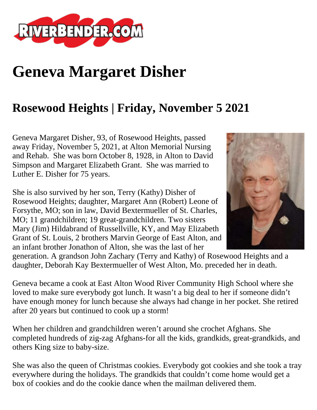

## **Geneva Margaret Disher**

## **Rosewood Heights | Friday, November 5 2021**

Geneva Margaret Disher, 93, of Rosewood Heights, passed away Friday, November 5, 2021, at Alton Memorial Nursing and Rehab. She was born October 8, 1928, in Alton to David Simpson and Margaret Elizabeth Grant. She was married to Luther E. Disher for 75 years.

She is also survived by her son, Terry (Kathy) Disher of Rosewood Heights; daughter, Margaret Ann (Robert) Leone of Forsythe, MO; son in law, David Bextermueller of St. Charles, MO; 11 grandchildren; 19 great-grandchildren. Two sisters Mary (Jim) Hildabrand of Russellville, KY, and May Elizabeth Grant of St. Louis, 2 brothers Marvin George of East Alton, and an infant brother Jonathon of Alton, she was the last of her



generation. A grandson John Zachary (Terry and Kathy) of Rosewood Heights and a daughter, Deborah Kay Bextermueller of West Alton, Mo. preceded her in death.

Geneva became a cook at East Alton Wood River Community High School where she loved to make sure everybody got lunch. It wasn't a big deal to her if someone didn't have enough money for lunch because she always had change in her pocket. She retired after 20 years but continued to cook up a storm!

When her children and grandchildren weren't around she crochet Afghans. She completed hundreds of zig-zag Afghans-for all the kids, grandkids, great-grandkids, and others King size to baby-size.

She was also the queen of Christmas cookies. Everybody got cookies and she took a tray everywhere during the holidays. The grandkids that couldn't come home would get a box of cookies and do the cookie dance when the mailman delivered them.